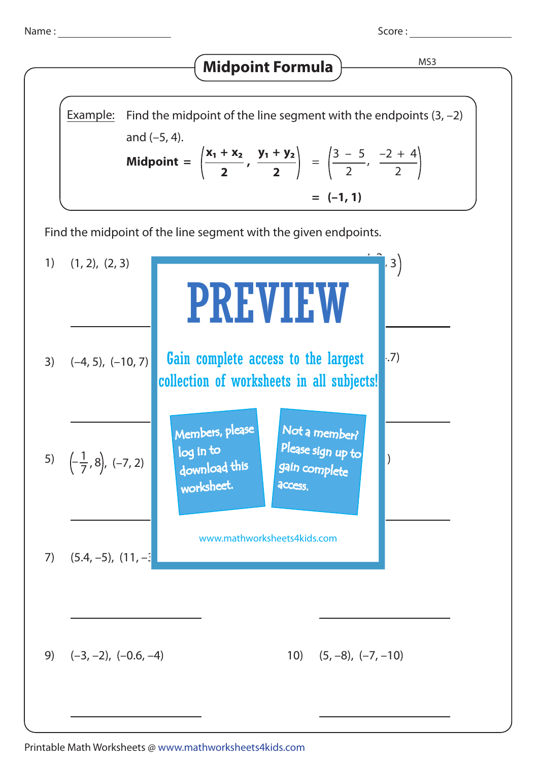